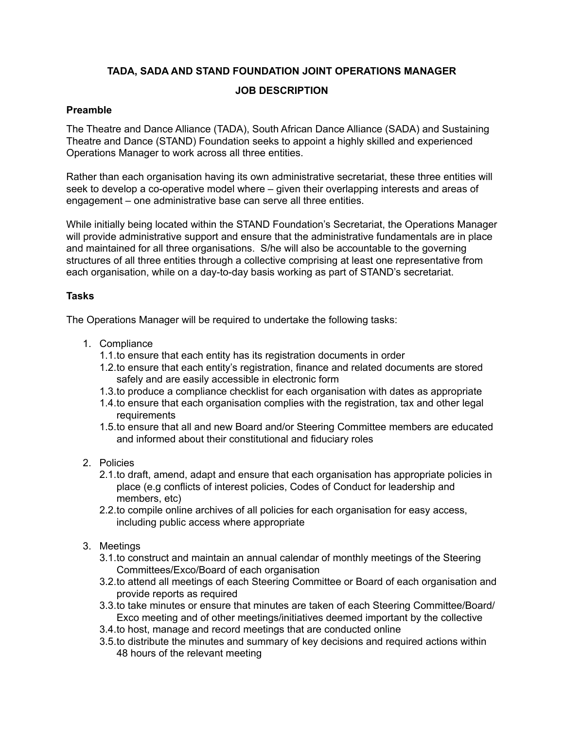# **TADA, SADA AND STAND FOUNDATION JOINT OPERATIONS MANAGER**

### **JOB DESCRIPTION**

### **Preamble**

The Theatre and Dance Alliance (TADA), South African Dance Alliance (SADA) and Sustaining Theatre and Dance (STAND) Foundation seeks to appoint a highly skilled and experienced Operations Manager to work across all three entities.

Rather than each organisation having its own administrative secretariat, these three entities will seek to develop a co-operative model where – given their overlapping interests and areas of engagement – one administrative base can serve all three entities.

While initially being located within the STAND Foundation's Secretariat, the Operations Manager will provide administrative support and ensure that the administrative fundamentals are in place and maintained for all three organisations. S/he will also be accountable to the governing structures of all three entities through a collective comprising at least one representative from each organisation, while on a day-to-day basis working as part of STAND's secretariat.

### **Tasks**

The Operations Manager will be required to undertake the following tasks:

- 1. Compliance
	- 1.1.to ensure that each entity has its registration documents in order
	- 1.2.to ensure that each entity's registration, finance and related documents are stored safely and are easily accessible in electronic form
	- 1.3.to produce a compliance checklist for each organisation with dates as appropriate
	- 1.4.to ensure that each organisation complies with the registration, tax and other legal requirements
	- 1.5.to ensure that all and new Board and/or Steering Committee members are educated and informed about their constitutional and fiduciary roles
- 2. Policies
	- 2.1.to draft, amend, adapt and ensure that each organisation has appropriate policies in place (e.g conflicts of interest policies, Codes of Conduct for leadership and members, etc)
	- 2.2.to compile online archives of all policies for each organisation for easy access, including public access where appropriate
- 3. Meetings
	- 3.1.to construct and maintain an annual calendar of monthly meetings of the Steering Committees/Exco/Board of each organisation
	- 3.2.to attend all meetings of each Steering Committee or Board of each organisation and provide reports as required
	- 3.3.to take minutes or ensure that minutes are taken of each Steering Committee/Board/ Exco meeting and of other meetings/initiatives deemed important by the collective
	- 3.4.to host, manage and record meetings that are conducted online
	- 3.5.to distribute the minutes and summary of key decisions and required actions within 48 hours of the relevant meeting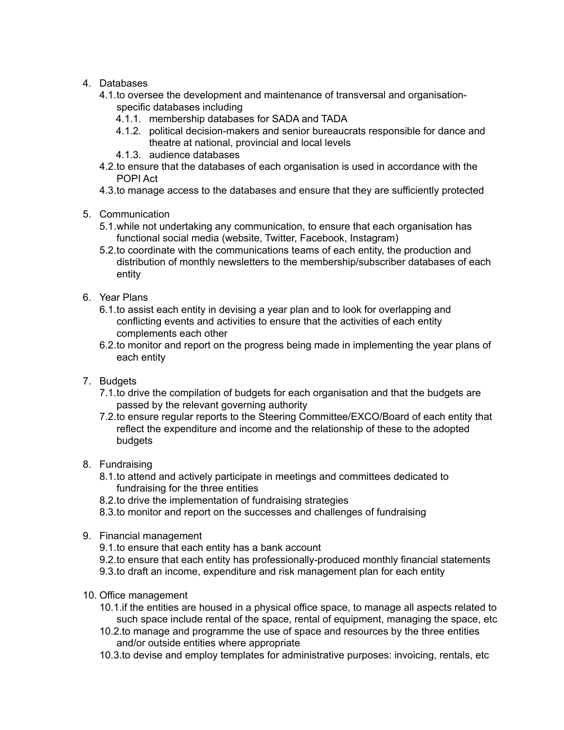# 4. Databases

- 4.1.to oversee the development and maintenance of transversal and organisationspecific databases including
	- 4.1.1. membership databases for SADA and TADA
	- 4.1.2. political decision-makers and senior bureaucrats responsible for dance and theatre at national, provincial and local levels
	- 4.1.3. audience databases
- 4.2.to ensure that the databases of each organisation is used in accordance with the POPI Act
- 4.3.to manage access to the databases and ensure that they are sufficiently protected
- 5. Communication
	- 5.1.while not undertaking any communication, to ensure that each organisation has functional social media (website, Twitter, Facebook, Instagram)
	- 5.2.to coordinate with the communications teams of each entity, the production and distribution of monthly newsletters to the membership/subscriber databases of each entity
- 6. Year Plans
	- 6.1.to assist each entity in devising a year plan and to look for overlapping and conflicting events and activities to ensure that the activities of each entity complements each other
	- 6.2.to monitor and report on the progress being made in implementing the year plans of each entity
- 7. Budgets
	- 7.1.to drive the compilation of budgets for each organisation and that the budgets are passed by the relevant governing authority
	- 7.2.to ensure regular reports to the Steering Committee/EXCO/Board of each entity that reflect the expenditure and income and the relationship of these to the adopted budgets
- 8. Fundraising
	- 8.1.to attend and actively participate in meetings and committees dedicated to fundraising for the three entities
	- 8.2.to drive the implementation of fundraising strategies
	- 8.3.to monitor and report on the successes and challenges of fundraising
- 9. Financial management
	- 9.1.to ensure that each entity has a bank account
	- 9.2.to ensure that each entity has professionally-produced monthly financial statements
	- 9.3.to draft an income, expenditure and risk management plan for each entity
- 10. Office management
	- 10.1.if the entities are housed in a physical office space, to manage all aspects related to such space include rental of the space, rental of equipment, managing the space, etc
	- 10.2.to manage and programme the use of space and resources by the three entities and/or outside entities where appropriate
	- 10.3.to devise and employ templates for administrative purposes: invoicing, rentals, etc